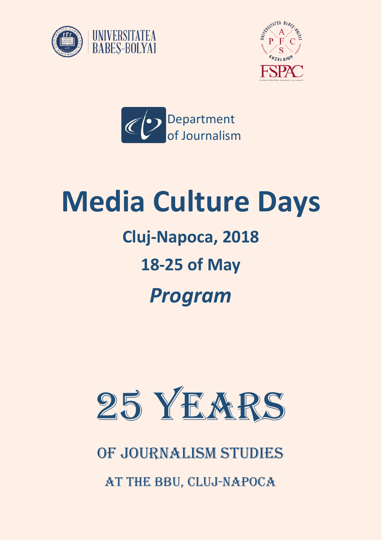





# **Media Culture Days**

## **Cluj-Napoca, 2018**

### **18-25 of May**

## *Program*



#### of Journalism Studies

at the BBU, Cluj-Napoca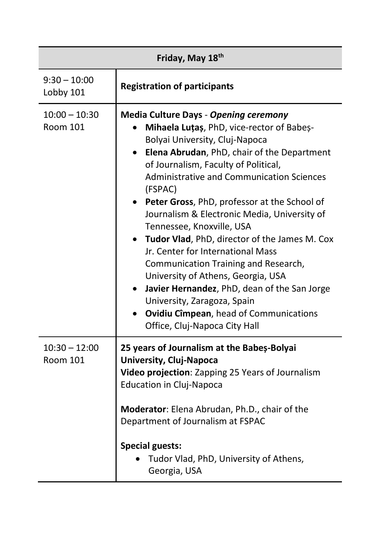| Friday, May 18th                   |                                                                                                                                                                                                                                                                                                                                                                                                                                                                                                                                                                                                                                                                                                                                                                  |
|------------------------------------|------------------------------------------------------------------------------------------------------------------------------------------------------------------------------------------------------------------------------------------------------------------------------------------------------------------------------------------------------------------------------------------------------------------------------------------------------------------------------------------------------------------------------------------------------------------------------------------------------------------------------------------------------------------------------------------------------------------------------------------------------------------|
| $9:30 - 10:00$<br>Lobby 101        | <b>Registration of participants</b>                                                                                                                                                                                                                                                                                                                                                                                                                                                                                                                                                                                                                                                                                                                              |
| $10:00 - 10:30$<br><b>Room 101</b> | <b>Media Culture Days - Opening ceremony</b><br>Mihaela Lutas, PhD, vice-rector of Babes-<br>Bolyai University, Cluj-Napoca<br>Elena Abrudan, PhD, chair of the Department<br>$\bullet$<br>of Journalism, Faculty of Political,<br><b>Administrative and Communication Sciences</b><br>(FSPAC)<br>Peter Gross, PhD, professor at the School of<br>Journalism & Electronic Media, University of<br>Tennessee, Knoxville, USA<br>Tudor Vlad, PhD, director of the James M. Cox<br>Jr. Center for International Mass<br>Communication Training and Research,<br>University of Athens, Georgia, USA<br>Javier Hernandez, PhD, dean of the San Jorge<br>University, Zaragoza, Spain<br><b>Ovidiu Cîmpean, head of Communications</b><br>Office, Cluj-Napoca City Hall |
| $10:30 - 12:00$<br>Room 101        | 25 years of Journalism at the Babeș-Bolyai<br><b>University, Cluj-Napoca</b><br>Video projection: Zapping 25 Years of Journalism<br><b>Education in Cluj-Napoca</b><br>Moderator: Elena Abrudan, Ph.D., chair of the<br>Department of Journalism at FSPAC<br><b>Special guests:</b><br>Tudor Vlad, PhD, University of Athens,<br>Georgia, USA                                                                                                                                                                                                                                                                                                                                                                                                                    |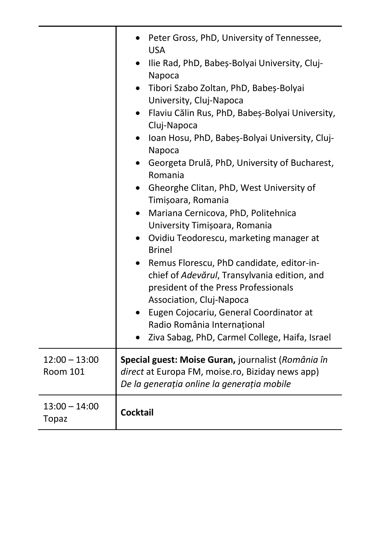|                                    | Peter Gross, PhD, University of Tennessee,<br><b>USA</b><br>Ilie Rad, PhD, Babeș-Bolyai University, Cluj-<br>Napoca<br>Tibori Szabo Zoltan, PhD, Babeș-Bolyai<br>University, Cluj-Napoca<br>Flaviu Călin Rus, PhD, Babeș-Bolyai University,<br>$\bullet$<br>Cluj-Napoca<br>Ioan Hosu, PhD, Babeș-Bolyai University, Cluj-<br>Napoca<br>Georgeta Drulă, PhD, University of Bucharest,<br>Romania<br>• Gheorghe Clitan, PhD, West University of<br>Timișoara, Romania<br>Mariana Cernicova, PhD, Politehnica<br>University Timișoara, Romania<br>Ovidiu Teodorescu, marketing manager at<br><b>Brinel</b><br>Remus Florescu, PhD candidate, editor-in-<br>chief of Adevărul, Transylvania edition, and<br>president of the Press Professionals<br>Association, Cluj-Napoca<br>Eugen Cojocariu, General Coordinator at<br>Radio România Internațional |
|------------------------------------|----------------------------------------------------------------------------------------------------------------------------------------------------------------------------------------------------------------------------------------------------------------------------------------------------------------------------------------------------------------------------------------------------------------------------------------------------------------------------------------------------------------------------------------------------------------------------------------------------------------------------------------------------------------------------------------------------------------------------------------------------------------------------------------------------------------------------------------------------|
|                                    | Ziva Sabag, PhD, Carmel College, Haifa, Israel                                                                                                                                                                                                                                                                                                                                                                                                                                                                                                                                                                                                                                                                                                                                                                                                     |
| $12:00 - 13:00$<br><b>Room 101</b> | Special guest: Moise Guran, journalist (România în<br>direct at Europa FM, moise.ro, Biziday news app)<br>De la generația online la generația mobile                                                                                                                                                                                                                                                                                                                                                                                                                                                                                                                                                                                                                                                                                               |
| $13:00 - 14:00$<br><b>Topaz</b>    | <b>Cocktail</b>                                                                                                                                                                                                                                                                                                                                                                                                                                                                                                                                                                                                                                                                                                                                                                                                                                    |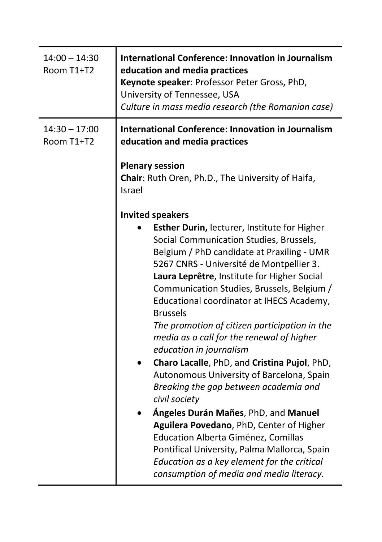| $14:00 - 14:30$<br>Room T1+T2 | <b>International Conference: Innovation in Journalism</b><br>education and media practices<br>Keynote speaker: Professor Peter Gross, PhD,<br>University of Tennessee, USA<br>Culture in mass media research (the Romanian case)                                                                                                                                                                                                                                                                                                                                                                                                                                                                                                                                                                                                                                                                                                |
|-------------------------------|---------------------------------------------------------------------------------------------------------------------------------------------------------------------------------------------------------------------------------------------------------------------------------------------------------------------------------------------------------------------------------------------------------------------------------------------------------------------------------------------------------------------------------------------------------------------------------------------------------------------------------------------------------------------------------------------------------------------------------------------------------------------------------------------------------------------------------------------------------------------------------------------------------------------------------|
| $14:30 - 17:00$<br>Room T1+T2 | <b>International Conference: Innovation in Journalism</b><br>education and media practices<br><b>Plenary session</b>                                                                                                                                                                                                                                                                                                                                                                                                                                                                                                                                                                                                                                                                                                                                                                                                            |
|                               | Chair: Ruth Oren, Ph.D., The University of Haifa,<br>Israel                                                                                                                                                                                                                                                                                                                                                                                                                                                                                                                                                                                                                                                                                                                                                                                                                                                                     |
|                               | <b>Invited speakers</b><br>Esther Durin, lecturer, Institute for Higher<br>Social Communication Studies, Brussels,<br>Belgium / PhD candidate at Praxiling - UMR<br>5267 CNRS - Université de Montpellier 3.<br>Laura Leprêtre, Institute for Higher Social<br>Communication Studies, Brussels, Belgium /<br>Educational coordinator at IHECS Academy,<br><b>Brussels</b><br>The promotion of citizen participation in the<br>media as a call for the renewal of higher<br>education in journalism<br>Charo Lacalle, PhD, and Cristina Pujol, PhD,<br>Autonomous University of Barcelona, Spain<br>Breaking the gap between academia and<br>civil society<br>Ángeles Durán Mañes, PhD, and Manuel<br>Aguilera Povedano, PhD, Center of Higher<br>Education Alberta Giménez, Comillas<br>Pontifical University, Palma Mallorca, Spain<br>Education as a key element for the critical<br>consumption of media and media literacy. |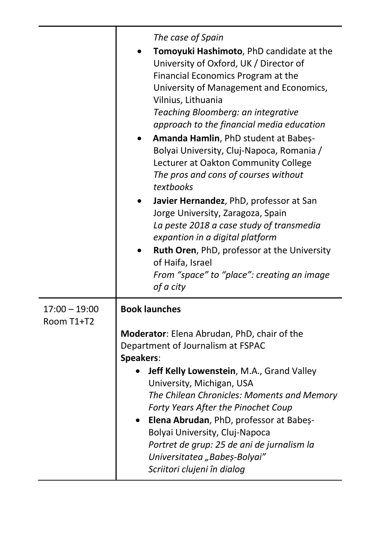|                               | The case of Spain<br>Tomoyuki Hashimoto, PhD candidate at the<br>University of Oxford, UK / Director of<br>Financial Economics Program at the<br>University of Management and Economics,<br>Vilnius, Lithuania<br>Teaching Bloomberg: an integrative<br>approach to the financial media education<br>Amanda Hamlin, PhD student at Babes-<br>Bolyai University, Cluj-Napoca, Romania /<br>Lecturer at Oakton Community College<br>The pros and cons of courses without<br>textbooks<br>Javier Hernandez, PhD, professor at San<br>Jorge University, Zaragoza, Spain<br>La peste 2018 a case study of transmedia<br>expantion in a digital platform<br>Ruth Oren, PhD, professor at the University<br>of Haifa, Israel<br>From "space" to "place": creating an image<br>of a city |
|-------------------------------|----------------------------------------------------------------------------------------------------------------------------------------------------------------------------------------------------------------------------------------------------------------------------------------------------------------------------------------------------------------------------------------------------------------------------------------------------------------------------------------------------------------------------------------------------------------------------------------------------------------------------------------------------------------------------------------------------------------------------------------------------------------------------------|
| $17:00 - 19:00$<br>Room T1+T2 | <b>Book launches</b><br>Moderator: Elena Abrudan, PhD, chair of the<br>Department of Journalism at FSPAC<br>Speakers:<br>Jeff Kelly Lowenstein, M.A., Grand Valley<br>University, Michigan, USA<br>The Chilean Chronicles: Moments and Memory<br>Forty Years After the Pinochet Coup<br>Elena Abrudan, PhD, professor at Babeș-<br>Bolyai University, Cluj-Napoca<br>Portret de grup: 25 de ani de jurnalism la<br>Universitatea "Babeș-Bolyai"<br>Scriitori clujeni în dialog                                                                                                                                                                                                                                                                                                   |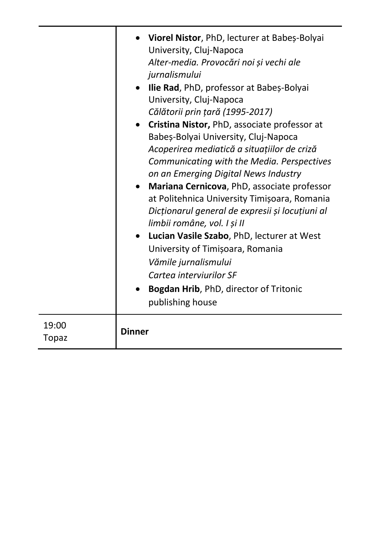|                       | • Viorel Nistor, PhD, lecturer at Babeș-Bolyai<br>University, Cluj-Napoca<br>Alter-media. Provocări noi și vechi ale<br>jurnalismului<br>Ilie Rad, PhD, professor at Babeș-Bolyai<br>$\bullet$<br>University, Cluj-Napoca<br>Călătorii prin țară (1995-2017)<br>Cristina Nistor, PhD, associate professor at<br>Babeș-Bolyai University, Cluj-Napoca<br>Acoperirea mediatică a situațiilor de criză<br>Communicating with the Media. Perspectives<br>on an Emerging Digital News Industry<br>Mariana Cernicova, PhD, associate professor<br>at Politehnica University Timișoara, Romania<br>Dicționarul general de expresii și locuțiuni al<br>limbii române, vol. I și II<br>Lucian Vasile Szabo, PhD, lecturer at West<br>University of Timișoara, Romania<br>Vămile jurnalismului<br>Cartea interviurilor SF<br>Bogdan Hrib, PhD, director of Tritonic<br>publishing house |
|-----------------------|-------------------------------------------------------------------------------------------------------------------------------------------------------------------------------------------------------------------------------------------------------------------------------------------------------------------------------------------------------------------------------------------------------------------------------------------------------------------------------------------------------------------------------------------------------------------------------------------------------------------------------------------------------------------------------------------------------------------------------------------------------------------------------------------------------------------------------------------------------------------------------|
| 19:00<br><b>Topaz</b> | <b>Dinner</b>                                                                                                                                                                                                                                                                                                                                                                                                                                                                                                                                                                                                                                                                                                                                                                                                                                                                 |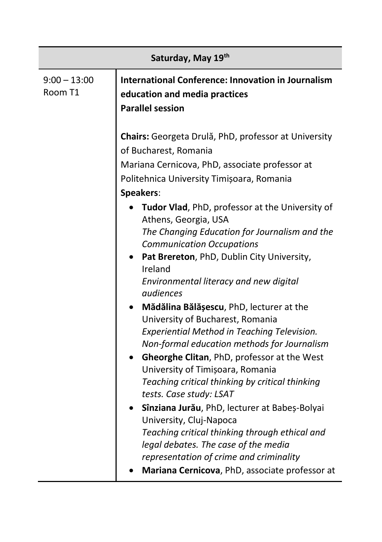| Saturday, May 19th        |                                                                                                                                                                                                                                                                                                                                                                                                                                                                                                                                                                                                                                                                                                                                                                                                                          |  |
|---------------------------|--------------------------------------------------------------------------------------------------------------------------------------------------------------------------------------------------------------------------------------------------------------------------------------------------------------------------------------------------------------------------------------------------------------------------------------------------------------------------------------------------------------------------------------------------------------------------------------------------------------------------------------------------------------------------------------------------------------------------------------------------------------------------------------------------------------------------|--|
| $9:00 - 13:00$<br>Room T1 | <b>International Conference: Innovation in Journalism</b><br>education and media practices<br><b>Parallel session</b>                                                                                                                                                                                                                                                                                                                                                                                                                                                                                                                                                                                                                                                                                                    |  |
|                           | Chairs: Georgeta Drulă, PhD, professor at University<br>of Bucharest, Romania<br>Mariana Cernicova, PhD, associate professor at<br>Politehnica University Timișoara, Romania<br>Speakers:<br>Tudor Vlad, PhD, professor at the University of<br>Athens, Georgia, USA<br>The Changing Education for Journalism and the<br><b>Communication Occupations</b><br>Pat Brereton, PhD, Dublin City University,<br>Ireland<br>Environmental literacy and new digital<br>audiences<br>Mădălina Bălășescu, PhD, lecturer at the<br>University of Bucharest, Romania<br>Experiential Method in Teaching Television.<br>Non-formal education methods for Journalism<br>Gheorghe Clitan, PhD, professor at the West<br>University of Timișoara, Romania<br>Teaching critical thinking by critical thinking<br>tests. Case study: LSAT |  |
|                           | Sînziana Jurău, PhD, lecturer at Babeș-Bolyai<br>University, Cluj-Napoca<br>Teaching critical thinking through ethical and<br>legal debates. The case of the media<br>representation of crime and criminality<br>Mariana Cernicova, PhD, associate professor at                                                                                                                                                                                                                                                                                                                                                                                                                                                                                                                                                          |  |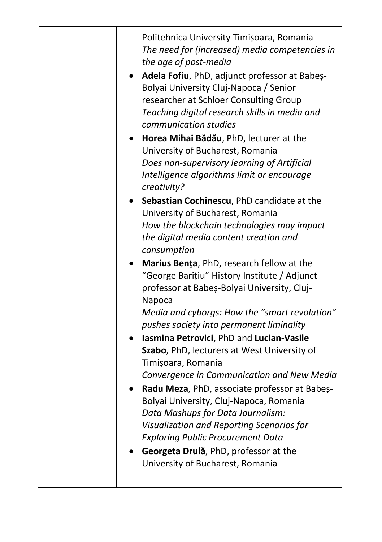Politehnica University Timișoara, Romania *The need for (increased) media competencies in the age of post-media*

- **Adela Fofiu**, PhD, adjunct professor at Babeș-Bolyai University Cluj-Napoca / Senior researcher at Schloer Consulting Group *Teaching digital research skills in media and communication studies*
- **Horea Mihai Bădău**, PhD, lecturer at the University of Bucharest, Romania *Does non-supervisory learning of Artificial Intelligence algorithms limit or encourage creativity?*
- **Sebastian Cochinescu**, PhD candidate at the University of Bucharest, Romania *How the blockchain technologies may impact the digital media content creation and consumption*
- **Marius Bența**, PhD, research fellow at the "George Barițiu" History Institute / Adjunct professor at Babeș-Bolyai University, Cluj-Napoca

*Media and cyborgs: How the "smart revolution" pushes society into permanent liminality*

- **Iasmina Petrovici**, PhD and **Lucian-Vasile Szabo**, PhD, lecturers at West University of Timișoara, Romania *Convergence in Communication and New Media*
- **Radu Meza**, PhD, associate professor at Babeș-Bolyai University, Cluj-Napoca, Romania *Data Mashups for Data Journalism: Visualization and Reporting Scenarios for Exploring Public Procurement Data*
- **Georgeta Drulă**, PhD, professor at the University of Bucharest, Romania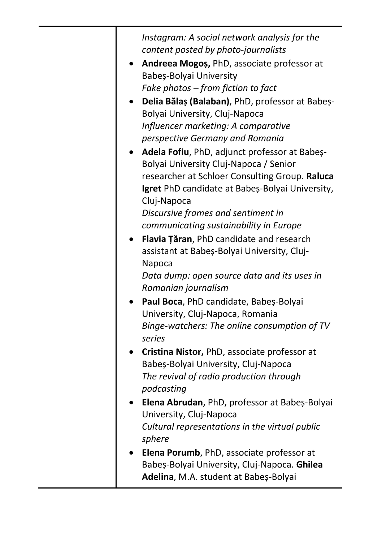*Instagram: A social network analysis for the content posted by photo-journalists* **Andreea Mogoș,** PhD, associate professor at Babeș-Bolyai University *Fake photos – from fiction to fact* **Delia Bălaș (Balaban)**, PhD, professor at Babeș-Bolyai University, Cluj-Napoca *Influencer marketing: A comparative perspective Germany and Romania* **Adela Fofiu**, PhD, adjunct professor at Babeș-Bolyai University Cluj-Napoca / Senior researcher at Schloer Consulting Group. **Raluca Igret** PhD candidate at Babeș-Bolyai University, Cluj-Napoca *Discursive frames and sentiment in communicating sustainability in Europe* **Flavia Țăran**, PhD candidate and research assistant at Babeș-Bolyai University, Cluj-Napoca *Data dump: open source data and its uses in Romanian journalism* **Paul Boca**, PhD candidate, Babeș-Bolyai University, Cluj-Napoca, Romania *Binge-watchers: The online consumption of TV series* **Cristina Nistor,** PhD, associate professor at Babeș-Bolyai University, Cluj-Napoca *The revival of radio production through podcasting* **Elena Abrudan**, PhD, professor at Babeș-Bolyai University, Cluj-Napoca *Cultural representations in the virtual public sphere* **Elena Porumb**, PhD, associate professor at Babeș-Bolyai University, Cluj-Napoca. **Ghilea Adelina**, M.A. student at Babeș-Bolyai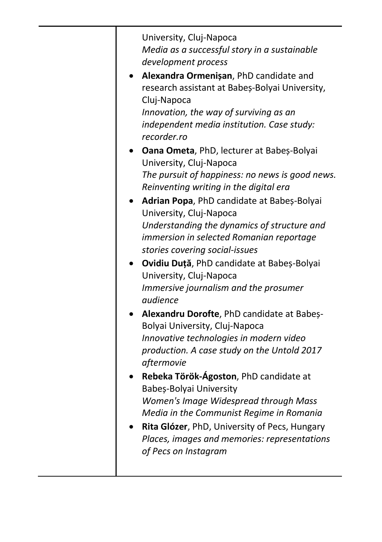| University, Cluj-Napoca<br>Media as a successful story in a sustainable                   |
|-------------------------------------------------------------------------------------------|
| development process                                                                       |
| Alexandra Ormenișan, PhD candidate and<br>research assistant at Babeș-Bolyai University,  |
|                                                                                           |
| Cluj-Napoca<br>Innovation, the way of surviving as an                                     |
| independent media institution. Case study:<br>recorder.ro                                 |
| Oana Ometa, PhD, lecturer at Babeș-Bolyai<br>University, Cluj-Napoca                      |
|                                                                                           |
| The pursuit of happiness: no news is good news.<br>Reinventing writing in the digital era |
| Adrian Popa, PhD candidate at Babeș-Bolyai<br>University, Cluj-Napoca                     |
| Understanding the dynamics of structure and                                               |
| immersion in selected Romanian reportage                                                  |
| stories covering social-issues                                                            |
| Ovidiu Duță, PhD candidate at Babeș-Bolyai                                                |
| University, Cluj-Napoca                                                                   |
|                                                                                           |
| Immersive journalism and the prosumer<br>audience                                         |
| Alexandru Dorofte, PhD candidate at Babes-                                                |
| Bolyai University, Cluj-Napoca                                                            |
| Innovative technologies in modern video                                                   |
| production. A case study on the Untold 2017                                               |
| aftermovie                                                                                |
| Rebeka Török-Ágoston, PhD candidate at                                                    |
| Babeș-Bolyai University                                                                   |
| Women's Image Widespread through Mass                                                     |
| Media in the Communist Regime in Romania                                                  |
| Rita Glózer, PhD, University of Pecs, Hungary                                             |
| Places, images and memories: representations                                              |
| of Pecs on Instagram                                                                      |
|                                                                                           |
|                                                                                           |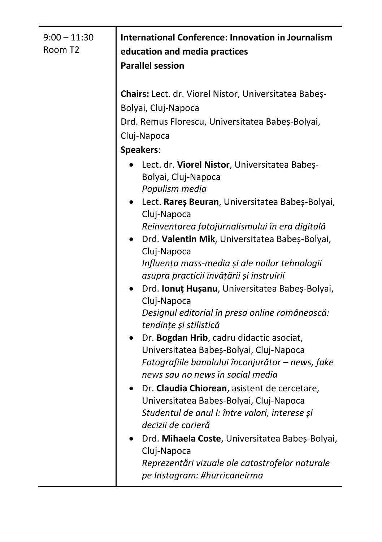| $9:00 - 11:30$<br>Room T2 | International Conference: Innovation in Journalism<br>education and media practices<br><b>Parallel session</b>                                                                                                                                                                                                                                                                                                                                                                                                                                                                                                                                                                                                                                                                                                                          |
|---------------------------|-----------------------------------------------------------------------------------------------------------------------------------------------------------------------------------------------------------------------------------------------------------------------------------------------------------------------------------------------------------------------------------------------------------------------------------------------------------------------------------------------------------------------------------------------------------------------------------------------------------------------------------------------------------------------------------------------------------------------------------------------------------------------------------------------------------------------------------------|
|                           | Chairs: Lect. dr. Viorel Nistor, Universitatea Babeș-<br>Bolyai, Cluj-Napoca<br>Drd. Remus Florescu, Universitatea Babeș-Bolyai,<br>Cluj-Napoca<br><b>Speakers:</b><br>Lect. dr. Viorel Nistor, Universitatea Babeș-<br>Bolyai, Cluj-Napoca<br>Populism media<br>Lect. Rareș Beuran, Universitatea Babeș-Bolyai,<br>Cluj-Napoca<br>Reinventarea fotojurnalismului în era digitală<br>Drd. Valentin Mik, Universitatea Babeș-Bolyai,<br>Cluj-Napoca<br>Influența mass-media și ale noilor tehnologii<br>asupra practicii învățării și instruirii<br>Drd. Ionuț Hușanu, Universitatea Babeș-Bolyai,<br>Cluj-Napoca<br>Designul editorial în presa online românească:<br>tendințe și stilistică<br>Dr. Bogdan Hrib, cadru didactic asociat,<br>Universitatea Babeș-Bolyai, Cluj-Napoca<br>Fotografiile banalului înconjurător - news, fake |
|                           | news sau no news în social media<br>Dr. Claudia Chiorean, asistent de cercetare,<br>Universitatea Babeș-Bolyai, Cluj-Napoca<br>Studentul de anul I: între valori, interese și<br>decizii de carieră<br>Drd. Mihaela Coste, Universitatea Babeș-Bolyai,<br>Cluj-Napoca<br>Reprezentări vizuale ale catastrofelor naturale<br>pe Instagram: #hurricaneirma                                                                                                                                                                                                                                                                                                                                                                                                                                                                                |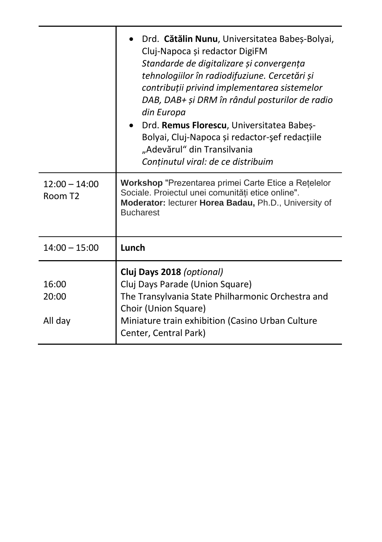|                                        | · Drd. Cătălin Nunu, Universitatea Babeș-Bolyai,<br>Cluj-Napoca și redactor DigiFM<br>Standarde de digitalizare și convergența<br>tehnologiilor în radiodifuziune. Cercetări și<br>contribuții privind implementarea sistemelor<br>DAB, DAB+ și DRM în rândul posturilor de radio<br>din Europa<br>· Drd. Remus Florescu, Universitatea Babeș-<br>Bolyai, Cluj-Napoca și redactor-șef redacțiile<br>"Adevărul" din Transilvania<br>Conținutul viral: de ce distribuim |
|----------------------------------------|-----------------------------------------------------------------------------------------------------------------------------------------------------------------------------------------------------------------------------------------------------------------------------------------------------------------------------------------------------------------------------------------------------------------------------------------------------------------------|
| $12:00 - 14:00$<br>Room T <sub>2</sub> | Workshop "Prezentarea primei Carte Etice a Retelelor<br>Sociale. Proiectul unei comunități etice online".<br>Moderator: lecturer Horea Badau, Ph.D., University of<br><b>Bucharest</b>                                                                                                                                                                                                                                                                                |
| $14:00 - 15:00$                        | Lunch                                                                                                                                                                                                                                                                                                                                                                                                                                                                 |
| 16:00<br>20:00<br>All day              | Cluj Days 2018 (optional)<br>Cluj Days Parade (Union Square)<br>The Transylvania State Philharmonic Orchestra and<br>Choir (Union Square)<br>Miniature train exhibition (Casino Urban Culture<br>Center, Central Park)                                                                                                                                                                                                                                                |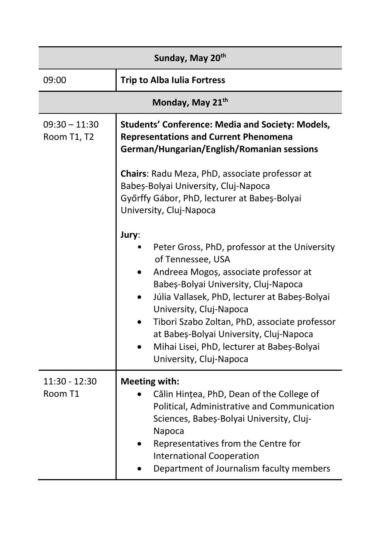| Sunday, May 20th               |                                                                                                                                                                                                                                                                                                                                                                                                               |
|--------------------------------|---------------------------------------------------------------------------------------------------------------------------------------------------------------------------------------------------------------------------------------------------------------------------------------------------------------------------------------------------------------------------------------------------------------|
| 09:00                          | <b>Trip to Alba Iulia Fortress</b>                                                                                                                                                                                                                                                                                                                                                                            |
|                                | Monday, May 21 <sup>th</sup>                                                                                                                                                                                                                                                                                                                                                                                  |
| $09:30 - 11:30$<br>Room T1, T2 | <b>Students' Conference: Media and Society: Models,</b><br><b>Representations and Current Phenomena</b><br>German/Hungarian/English/Romanian sessions                                                                                                                                                                                                                                                         |
|                                | Chairs: Radu Meza, PhD, associate professor at<br>Babeș-Bolyai University, Cluj-Napoca<br>Győrffy Gábor, PhD, lecturer at Babeș-Bolyai<br>University, Cluj-Napoca                                                                                                                                                                                                                                             |
|                                | Jury:<br>Peter Gross, PhD, professor at the University<br>of Tennessee, USA<br>Andreea Mogoș, associate professor at<br>Babeș-Bolyai University, Cluj-Napoca<br>Júlia Vallasek, PhD, lecturer at Babeș-Bolyai<br>University, Cluj-Napoca<br>Tibori Szabo Zoltan, PhD, associate professor<br>at Babeș-Bolyai University, Cluj-Napoca<br>Mihai Lisei, PhD, lecturer at Babeș-Bolyai<br>University, Cluj-Napoca |
| 11:30 - 12:30<br>Room T1       | <b>Meeting with:</b><br>Călin Hințea, PhD, Dean of the College of<br>Political, Administrative and Communication<br>Sciences, Babeș-Bolyai University, Cluj-<br>Napoca<br>Representatives from the Centre for<br><b>International Cooperation</b><br>Department of Journalism faculty members                                                                                                                 |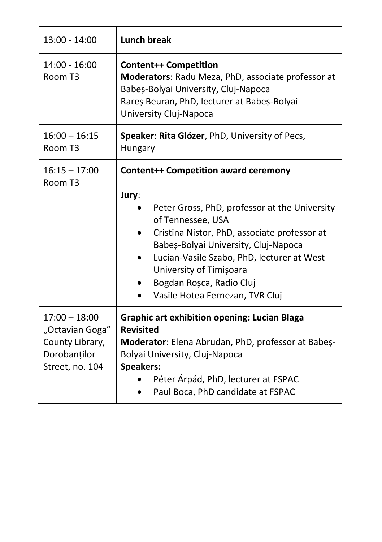| 13:00 - 14:00                                                                            | <b>Lunch break</b>                                                                                                                                                                                                                                                                                                                                              |
|------------------------------------------------------------------------------------------|-----------------------------------------------------------------------------------------------------------------------------------------------------------------------------------------------------------------------------------------------------------------------------------------------------------------------------------------------------------------|
| $14:00 - 16:00$<br>Room T3                                                               | <b>Content++ Competition</b><br>Moderators: Radu Meza, PhD, associate professor at<br>Babeș-Bolyai University, Cluj-Napoca<br>Rareș Beuran, PhD, lecturer at Babeș-Bolyai<br>University Cluj-Napoca                                                                                                                                                             |
| $16:00 - 16:15$<br>Room T3                                                               | Speaker: Rita Glózer, PhD, University of Pecs,<br>Hungary                                                                                                                                                                                                                                                                                                       |
| $16:15 - 17:00$<br>Room T3                                                               | <b>Content++ Competition award ceremony</b><br>Jury:<br>Peter Gross, PhD, professor at the University<br>of Tennessee, USA<br>Cristina Nistor, PhD, associate professor at<br>Babeș-Bolyai University, Cluj-Napoca<br>Lucian-Vasile Szabo, PhD, lecturer at West<br>٠<br>University of Timișoara<br>Bogdan Roșca, Radio Cluj<br>Vasile Hotea Fernezan, TVR Cluj |
| $17:00 - 18:00$<br>"Octavian Goga"<br>County Library,<br>Dorobanților<br>Street, no. 104 | <b>Graphic art exhibition opening: Lucian Blaga</b><br><b>Revisited</b><br>Moderator: Elena Abrudan, PhD, professor at Babes-<br>Bolyai University, Cluj-Napoca<br><b>Speakers:</b><br>Péter Árpád, PhD, lecturer at FSPAC<br>Paul Boca, PhD candidate at FSPAC                                                                                                 |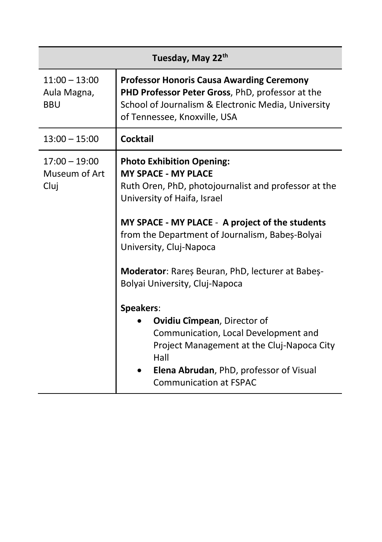| Tuesday, May 22th                            |                                                                                                                                                                                                                                                                                                                                                                              |  |
|----------------------------------------------|------------------------------------------------------------------------------------------------------------------------------------------------------------------------------------------------------------------------------------------------------------------------------------------------------------------------------------------------------------------------------|--|
| $11:00 - 13:00$<br>Aula Magna,<br><b>BBU</b> | <b>Professor Honoris Causa Awarding Ceremony</b><br>PHD Professor Peter Gross, PhD, professor at the<br>School of Journalism & Electronic Media, University<br>of Tennessee, Knoxville, USA                                                                                                                                                                                  |  |
| $13:00 - 15:00$                              | <b>Cocktail</b>                                                                                                                                                                                                                                                                                                                                                              |  |
| $17:00 - 19:00$<br>Museum of Art<br>Cluj     | <b>Photo Exhibition Opening:</b><br><b>MY SPACE - MY PLACE</b><br>Ruth Oren, PhD, photojournalist and professor at the<br>University of Haifa, Israel<br>MY SPACE - MY PLACE - A project of the students<br>from the Department of Journalism, Babeș-Bolyai<br>University, Cluj-Napoca<br>Moderator: Rares Beuran, PhD, lecturer at Babes-<br>Bolyai University, Cluj-Napoca |  |
|                                              | Speakers:<br>Ovidiu Cîmpean, Director of<br>Communication, Local Development and<br>Project Management at the Cluj-Napoca City<br>Hall<br>Elena Abrudan, PhD, professor of Visual<br><b>Communication at FSPAC</b>                                                                                                                                                           |  |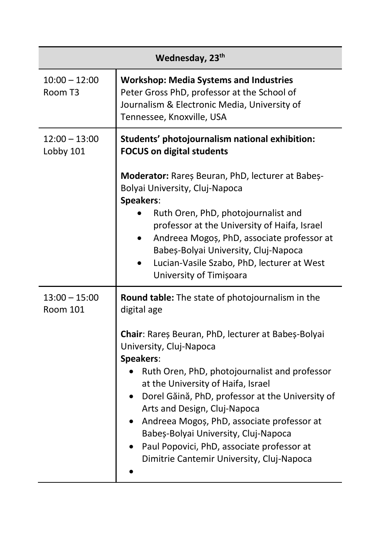| Wednesday, 23 <sup>th</sup>  |                                                                                                                                                                                                                                                                                                                                                                                                                                                                                                                             |  |
|------------------------------|-----------------------------------------------------------------------------------------------------------------------------------------------------------------------------------------------------------------------------------------------------------------------------------------------------------------------------------------------------------------------------------------------------------------------------------------------------------------------------------------------------------------------------|--|
| $10:00 - 12:00$<br>Room T3   | <b>Workshop: Media Systems and Industries</b><br>Peter Gross PhD, professor at the School of<br>Journalism & Electronic Media, University of<br>Tennessee, Knoxville, USA                                                                                                                                                                                                                                                                                                                                                   |  |
| $12:00 - 13:00$<br>Lobby 101 | Students' photojournalism national exhibition:<br><b>FOCUS on digital students</b><br>Moderator: Rareș Beuran, PhD, lecturer at Babeș-<br>Bolyai University, Cluj-Napoca<br>Speakers:<br>Ruth Oren, PhD, photojournalist and<br>professor at the University of Haifa, Israel<br>Andreea Mogoș, PhD, associate professor at<br>Babeș-Bolyai University, Cluj-Napoca<br>Lucian-Vasile Szabo, PhD, lecturer at West<br>University of Timișoara                                                                                 |  |
| $13:00 - 15:00$<br>Room 101  | Round table: The state of photojournalism in the<br>digital age<br>Chair: Rareș Beuran, PhD, lecturer at Babeș-Bolyai<br>University, Cluj-Napoca<br>Speakers:<br>Ruth Oren, PhD, photojournalist and professor<br>at the University of Haifa, Israel<br>• Dorel Găină, PhD, professor at the University of<br>Arts and Design, Cluj-Napoca<br>Andreea Mogoș, PhD, associate professor at<br>Babeș-Bolyai University, Cluj-Napoca<br>Paul Popovici, PhD, associate professor at<br>Dimitrie Cantemir University, Cluj-Napoca |  |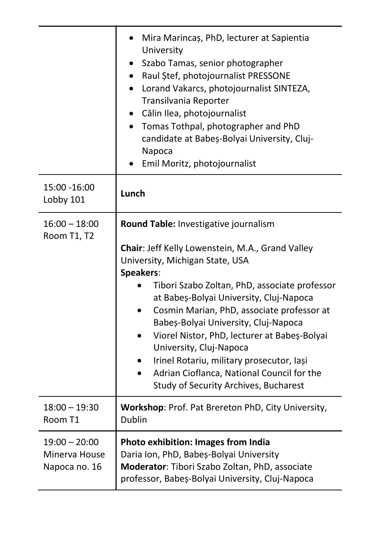|                                                   | Mira Marincaș, PhD, lecturer at Sapientia<br>University<br>Szabo Tamas, senior photographer<br>Raul Stef, photojournalist PRESSONE<br>Lorand Vakarcs, photojournalist SINTEZA,<br>Transilvania Reporter<br>Călin Ilea, photojournalist<br>Tomas Tothpal, photographer and PhD<br>$\bullet$<br>candidate at Babeș-Bolyai University, Cluj-<br>Napoca<br>Emil Moritz, photojournalist                                                                                                                                                        |
|---------------------------------------------------|--------------------------------------------------------------------------------------------------------------------------------------------------------------------------------------------------------------------------------------------------------------------------------------------------------------------------------------------------------------------------------------------------------------------------------------------------------------------------------------------------------------------------------------------|
| 15:00 -16:00<br>Lobby 101                         | Lunch                                                                                                                                                                                                                                                                                                                                                                                                                                                                                                                                      |
| 16:00 – 18:00<br>Room T1, T2                      | Round Table: Investigative journalism<br>Chair: Jeff Kelly Lowenstein, M.A., Grand Valley<br>University, Michigan State, USA<br>Speakers:<br>Tibori Szabo Zoltan, PhD, associate professor<br>at Babeș-Bolyai University, Cluj-Napoca<br>Cosmin Marian, PhD, associate professor at<br>Babeș-Bolyai University, Cluj-Napoca<br>Viorel Nistor, PhD, lecturer at Babeș-Bolyai<br>University, Cluj-Napoca<br>Irinel Rotariu, military prosecutor, Iași<br>Adrian Cioflanca, National Council for the<br>Study of Security Archives, Bucharest |
| $18:00 - 19:30$<br>Room T1                        | Workshop: Prof. Pat Brereton PhD, City University,<br>Dublin                                                                                                                                                                                                                                                                                                                                                                                                                                                                               |
| $19:00 - 20:00$<br>Minerva House<br>Napoca no. 16 | Photo exhibition: Images from India<br>Daria Ion, PhD, Babeș-Bolyai University<br>Moderator: Tibori Szabo Zoltan, PhD, associate<br>professor, Babeș-Bolyai University, Cluj-Napoca                                                                                                                                                                                                                                                                                                                                                        |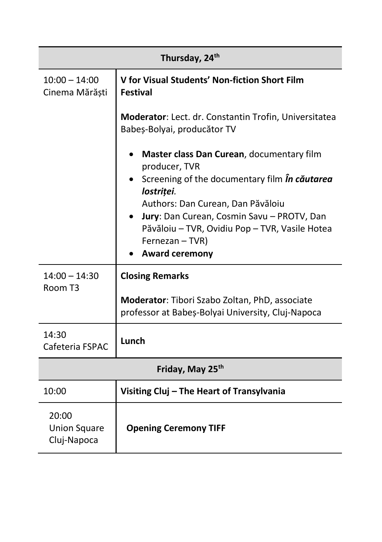| Thursday, 24th                              |                                                                                                     |  |
|---------------------------------------------|-----------------------------------------------------------------------------------------------------|--|
| $10:00 - 14:00$<br>Cinema Mărăști           | V for Visual Students' Non-fiction Short Film<br><b>Festival</b>                                    |  |
|                                             | Moderator: Lect. dr. Constantin Trofin, Universitatea<br>Babeș-Bolyai, producător TV                |  |
|                                             | • Master class Dan Curean, documentary film<br>producer, TVR                                        |  |
|                                             | • Screening of the documentary film <i>in cautarea</i><br>lostriței.                                |  |
|                                             | Authors: Dan Curean, Dan Păvăloiu                                                                   |  |
|                                             | Jury: Dan Curean, Cosmin Savu - PROTV, Dan                                                          |  |
|                                             | Păvăloiu - TVR, Ovidiu Pop - TVR, Vasile Hotea                                                      |  |
|                                             | Fernezan - TVR)                                                                                     |  |
|                                             | <b>Award ceremony</b>                                                                               |  |
| $14:00 - 14:30$<br>Room T3                  | <b>Closing Remarks</b>                                                                              |  |
|                                             | Moderator: Tibori Szabo Zoltan, PhD, associate<br>professor at Babeș-Bolyai University, Cluj-Napoca |  |
| 14:30<br>Cafeteria FSPAC                    | Lunch                                                                                               |  |
| Friday, May 25th                            |                                                                                                     |  |
| 10:00                                       | Visiting Cluj - The Heart of Transylvania                                                           |  |
| 20:00<br><b>Union Square</b><br>Cluj-Napoca | <b>Opening Ceremony TIFF</b>                                                                        |  |